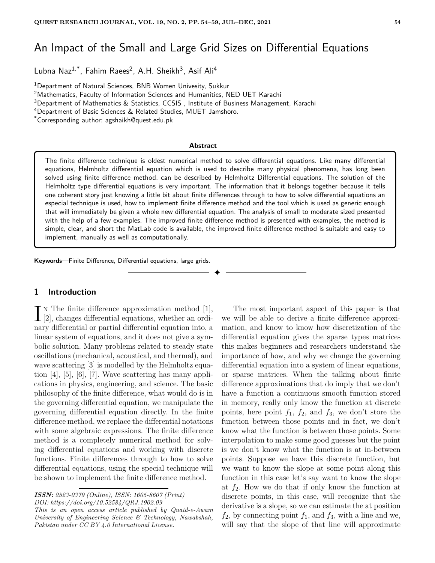# An Impact of the Small and Large Grid Sizes on Differential Equations

Lubna Naz<sup>1,\*</sup>, Fahim Raees<sup>2</sup>, A.H. Sheikh<sup>3</sup>, Asif Ali<sup>4</sup>

<sup>1</sup>Department of Natural Sciences, BNB Women Univesity, Sukkur

<sup>2</sup>Mathematics, Faculty of Information Sciences and Humanities, NED UET Karachi

<sup>3</sup>Department of Mathematics & Statistics, CCSIS , Institute of Business Management, Karachi

<sup>4</sup>Department of Basic Sciences & Related Studies, MUET Jamshoro.

\*Corresponding author: agshaikh@quest.edu.pk

#### **Abstract**

The finite difference technique is oldest numerical method to solve differential equations. Like many differential equations, Helmholtz differential equation which is used to describe many physical phenomena, has long been solved using finite difference method. can be described by Helmholtz Differential equations. The solution of the Helmholtz type differential equations is very important. The information that it belongs together because it tells one coherent story just knowing a little bit about finite differences through to how to solve differential equations an especial technique is used, how to implement finite difference method and the tool which is used as generic enough that will immediately be given a whole new differential equation. The analysis of small to moderate sized presented with the help of a few examples. The improved finite difference method is presented with examples, the method is simple, clear, and short the MatLab code is available, the improved finite difference method is suitable and easy to implement, manually as well as computationally.

✦

**Keywords**—Finite Difference, Differential equations, large grids.

## **1 Introduction**

 $\prod_{[2]}$  is The finite difference approximation method [1], [2], changes differential equations, whether an ordin The finite difference approximation method [1], nary differential or partial differential equation into, a linear system of equations, and it does not give a symbolic solution. Many problems related to steady state oscillations (mechanical, acoustical, and thermal), and wave scattering [3] is modelled by the Helmholtz equation [4], [5], [6], [7]. Wave scattering has many applications in physics, engineering, and science. The basic philosophy of the finite difference, what would do is in the governing differential equation, we manipulate the governing differential equation directly. In the finite difference method, we replace the differential notations with some algebraic expressions. The finite difference method is a completely numerical method for solving differential equations and working with discrete functions. Finite differences through to how to solve differential equations, using the special technique will be shown to implement the finite difference method.

*This is an open access article published by Quaid-e-Awam University of Engineering Science & Technology, Nawabshah, Pakistan under CC BY 4.0 International License.*

The most important aspect of this paper is that we will be able to derive a finite difference approximation, and know to know how discretization of the differential equation gives the sparse types matrices this makes beginners and researchers understand the importance of how, and why we change the governing differential equation into a system of linear equations, or sparse matrices. When the talking about finite difference approximations that do imply that we don't have a function a continuous smooth function stored in memory, really only know the function at discrete points, here point  $f_1$ ,  $f_2$ , and  $f_3$ , we don't store the function between those points and in fact, we don't know what the function is between those points. Some interpolation to make some good guesses but the point is we don't know what the function is at in-between points. Suppose we have this discrete function, but we want to know the slope at some point along this function in this case let's say want to know the slope at  $f_2$ . How we do that if only know the function at discrete points, in this case, will recognize that the derivative is a slope, so we can estimate the at position  $f_2$ , by connecting point  $f_1$ , and  $f_3$ , with a line and we, will say that the slope of that line will approximate

*ISSN: 2523-0379 (Online), ISSN: 1605-8607 (Print) DOI: https://doi.org/10.52584/QRJ.1902.09*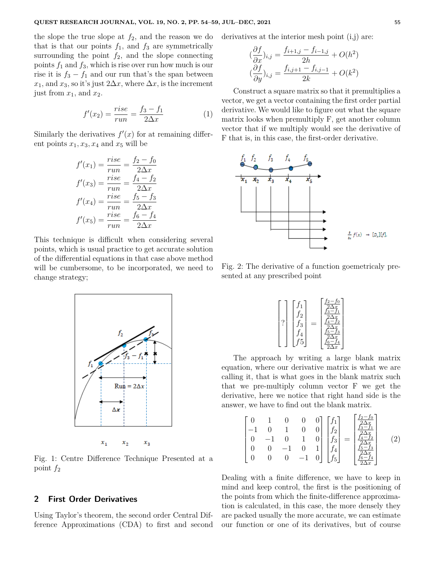the slope the true slope at  $f_2$ , and the reason we do that is that our points  $f_1$ , and  $f_3$  are symmetrically surrounding the point  $f_2$ , and the slope connecting points *f*<sup>1</sup> and *f*3, which is rise over run how much is our rise it is  $f_3 - f_1$  and our run that's the span between  $x_1$ , and  $x_3$ , so it's just  $2\Delta x$ , where  $\Delta x$ , is the increment just from  $x_1$ , and  $x_2$ .

$$
f'(x_2) = \frac{rise}{run} = \frac{f_3 - f_1}{2\Delta x} \tag{1}
$$

Similarly the derivatives  $f'(x)$  for at remaining different points  $x_1, x_3, x_4$  and  $x_5$  will be

$$
f'(x_1) = \frac{rise}{run} = \frac{f_2 - f_0}{2\Delta x}
$$

$$
f'(x_3) = \frac{rise}{run} = \frac{f_4 - f_2}{2\Delta x}
$$

$$
f'(x_4) = \frac{rise}{run} = \frac{f_5 - f_3}{2\Delta x}
$$

$$
f'(x_5) = \frac{rise}{run} = \frac{f_6 - f_4}{2\Delta x}
$$

This technique is difficult when considering several points, which is usual practice to get accurate solution of the differential equations in that case above method will be cumbersome, to be incorporated, we need to change strategy;



Fig. 1: Centre Difference Technique Presented at a point *f*<sup>2</sup>

# **2 First Order Derivatives**

Using Taylor's theorem, the second order Central Difference Approximations (CDA) to first and second derivatives at the interior mesh point  $(i,j)$  are:

$$
(\frac{\partial f}{\partial x})_{i,j} = \frac{f_{i+1,j} - f_{i-1,j}}{2h} + O(h^2)
$$

$$
(\frac{\partial f}{\partial y})_{i,j} = \frac{f_{i,j+1} - f_{i,j-1}}{2k} + O(k^2)
$$

Construct a square matrix so that it premultiplies a vector, we get a vector containing the first order partial derivative. We would like to figure out what the square matrix looks when premultiply F, get another column vector that if we multiply would see the derivative of F that is, in this case, the first-order derivative.



Fig. 2: The derivative of a function goemetricaly presented at any prescribed point

| J2<br>?<br>5<br>-5 |  | $f_2-f_0$<br>つか<br>$3 - i$<br>$-t_2$<br>$5 - f_3$<br>2/<br>$\overline{x}$ |
|--------------------|--|---------------------------------------------------------------------------|
|--------------------|--|---------------------------------------------------------------------------|

The approach by writing a large blank matrix equation, where our derivative matrix is what we are calling it, that is what goes in the blank matrix such that we pre-multiply column vector F we get the derivative, here we notice that right hand side is the answer, we have to find out the blank matrix.

$$
\begin{bmatrix} 0 & 1 & 0 & 0 & 0 \ -1 & 0 & 1 & 0 & 0 \ 0 & -1 & 0 & 1 & 0 \ 0 & 0 & -1 & 0 & 1 \ 0 & 0 & 0 & -1 & 0 \ \end{bmatrix} \begin{bmatrix} f_1 \\ f_2 \\ f_3 \\ f_4 \\ f_5 \end{bmatrix} = \begin{bmatrix} \frac{f_2 - f_0}{2\Delta x} \\ \frac{f_3 - f_1}{2\Delta x} \\ \frac{f_4 - f_2}{2\Delta x} \\ \frac{f_5 - f_3}{2\Delta x} \\ \frac{f_6 - f_4}{2\Delta x} \end{bmatrix} \quad (2)
$$

Dealing with a finite difference, we have to keep in mind and keep control, the first is the positioning of the points from which the finite-difference approximation is calculated, in this case, the more densely they are packed usually the more accurate, we can estimate our function or one of its derivatives, but of course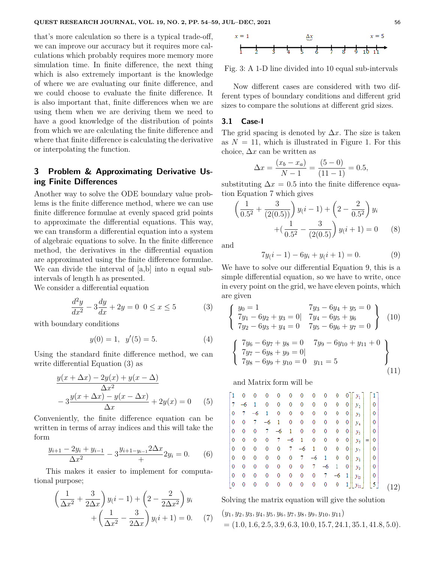that's more calculation so there is a typical trade-off, we can improve our accuracy but it requires more calculations which probably requires more memory more simulation time. In finite difference, the next thing which is also extremely important is the knowledge of where we are evaluating our finite difference, and we could choose to evaluate the finite difference. It is also important that, finite differences when we are using them when we are deriving them we need to have a good knowledge of the distribution of points from which we are calculating the finite difference and where that finite difference is calculating the derivative or interpolating the function.

# **3 Problem & Approximating Derivative Using Finite Differences**

Another way to solve the ODE boundary value problems is the finite difference method, where we can use finite difference formulae at evenly spaced grid points to approximate the differential equations. This way, we can transform a differential equation into a system of algebraic equations to solve. In the finite difference method, the derivatives in the differential equation are approximated using the finite difference formulae. We can divide the interval of [a,b] into n equal subintervals of length h as presented.

We consider a differential equation

$$
\frac{d^2y}{dx^2} - 3\frac{dy}{dx} + 2y = 0 \ \ 0 \le x \le 5 \tag{3}
$$

with boundary conditions

$$
y(0) = 1, \ y'(5) = 5.
$$
 (4)

Using the standard finite difference method, we can write differential Equation (3) as

$$
\frac{y(x + \Delta x) - 2y(x) + y(x - \Delta)}{\Delta x^2}
$$
  
- 3
$$
\frac{y(x + \Delta x) - y(x - \Delta x)}{\Delta x} + 2y(x) = 0
$$
 (5)

Conveniently, the finite difference equation can be written in terms of array indices and this will take the form

$$
\frac{y_{i+1} - 2y_i + y_{i-1}}{\Delta x^2} - 3 \frac{y_{i+1-y_{i-1}} 2\Delta x}{+} 2y_i = 0.
$$
 (6)

This makes it easier to implement for computational purpose;

$$
\left(\frac{1}{\Delta x^2} + \frac{3}{2\Delta x}\right) y(i-1) + \left(2 - \frac{2}{2\Delta x^2}\right) y_i
$$

$$
+ \left(\frac{1}{\Delta x^2} - \frac{3}{2\Delta x}\right) y(i+1) = 0. \tag{7}
$$



Fig. 3: A 1-D line divided into 10 equal sub-intervals

Now different cases are considered with two different types of boundary conditions and different grid sizes to compare the solutions at different grid sizes.

#### **3.1 Case-I**

The grid spacing is denoted by  $\Delta x$ . The size is taken as  $N = 11$ , which is illustrated in Figure 1. For this choice,  $\Delta x$  can be written as

$$
\Delta x = \frac{(x_b - x_a)}{N - 1} = \frac{(5 - 0)}{(11 - 1)} = 0.5,
$$

substituting  $\Delta x = 0.5$  into the finite difference equation Equation 7 which gives

$$
\left(\frac{1}{0.5^2} + \frac{3}{(2(0.5))}\right) y(i-1) + \left(2 - \frac{2}{0.5^2}\right) y_i
$$

$$
+ \left(\frac{1}{0.5^2} - \frac{3}{(2(0.5))}\right) y(i+1) = 0 \qquad (8)
$$

and

$$
7y(i-1) - 6y_i + y(i+1) = 0.
$$
 (9)

We have to solve our differential Equation 9, this is a simple differential equation, so we have to write, once in every point on the grid, we have eleven points, which are given

$$
\begin{cases}\ny_0 = 1 & 7y_3 - 6y_4 + y_5 = 0 \\
7y_1 - 6y_2 + y_3 = 0 | 7y_4 - 6y_5 + y_6 \\
7y_2 - 6y_3 + y_4 = 0 & 7y_5 - 6y_6 + y_7 = 0\n\end{cases}
$$
\n
$$
\begin{cases}\n7y_6 - 6y_7 + y_8 = 0 & 7y_9 - 6y_{10} + y_{11} + 0 \\
7y_7 - 6y_8 + y_9 = 0 | \\
7y_8 - 6y_9 + y_{10} = 0 & y_{11} = 5\n\end{cases}
$$
\n
$$
(11)
$$

and Matrix form will be

| ī.             | 0  | 0    | 0    | 0    | 0    | 0    | 0            | 0    | 0            | 0              | $y_{1}$     | $\vert$ 1 |   |     |
|----------------|----|------|------|------|------|------|--------------|------|--------------|----------------|-------------|-----------|---|-----|
| 7              | -6 | 1    | 0    | 0    | 0    | 0    | 0            | 0    | 0            | 0              | $y_{2}$     |           | 0 |     |
| $\bf{0}$       | 7  | $-6$ | 1    | 0    | 0    | 0    | 0            | 0    | 0            | 0              | $y_{3}$     |           | 0 |     |
| $\mathbf 0$    | 0  | 7    | $-6$ | 1    | 0    | 0    | 0            | 0    | 0            | 0              | $y_4$       |           | 0 |     |
| 0              | 0  | 0    | 7    | $-6$ | 1    | 0    | 0            | 0    | 0            | 0              | $y_{5}$     |           | 0 |     |
| 0              | 0  | 0    | 0    | 7    | $-6$ | 1    | 0            | 0    | 0            | 0              | $y_{6}$     | =         | 0 |     |
| $\bf{0}$       | 0  | 0    | 0    | 0    | 7    | $-6$ | $\mathbf{1}$ | 0    | 0            | 0              | $y_{7}$     |           | 0 |     |
| $\mathbf 0$    | 0  | 0    | 0    | 0    | 0    | 7    | $-6$         | 1    | 0            | 0              | $y_{8}$     |           | 0 |     |
| 0              | 0  | 0    | 0    | 0    | 0    | 0    | 7            | $-6$ | 1            | 0              | $y_{\circ}$ |           | 0 |     |
| 0              | 0  | 0    | 0    | 0    | 0    | 0    | 0            | 7    | $-6$         | $\overline{1}$ | $y_{10}$    |           | 0 |     |
| $\overline{0}$ | 0  | 0    | 0    | 0    | 0    | 0    | $\bf{0}$     | 0    | $\mathbf{0}$ |                | $y_{11}$    |           | 5 | 12) |

Solving the matrix equation will give the solution

$$
(y_1, y_2, y_3, y_4, y_5, y_6, y_7, y_8, y_9, y_{10}, y_{11})
$$
  
= (1.0, 1.6, 2.5, 3.9, 6.3, 10.0, 15.7, 24.1, 35.1, 41.8, 5.0).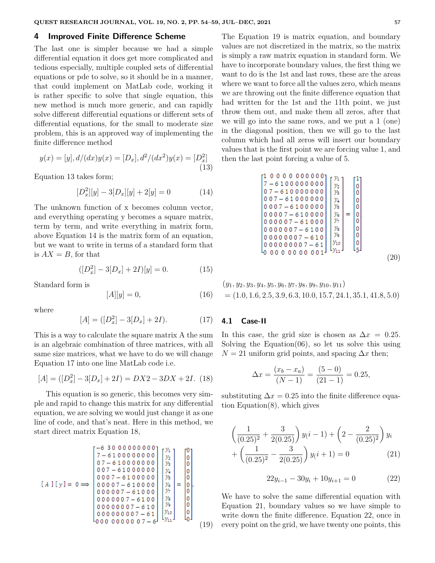# **4 Improved Finite Difference Scheme**

The last one is simpler because we had a simple differential equation it does get more complicated and tedious especially, multiple coupled sets of differential equations or pde to solve, so it should be in a manner, that could implement on MatLab code, working it is rather specific to solve that single equation, this new method is much more generic, and can rapidly solve different differential equations or different sets of differential equations, for the small to moderate size problem, this is an approved way of implementing the finite difference method

$$
y(x) = [y], d/(dx)y(x) = [D_x], d^2/(dx^2)y(x) = [D_x^2]
$$
\n(13)

Equation 13 takes form;

$$
[D_x^2][y] - 3[D_x][y] + 2[y] = 0 \tag{14}
$$

The unknown function of x becomes column vector, and everything operating y becomes a square matrix, term by term, and write everything in matrix form, above Equation 14 is the matrix form of an equation, but we want to write in terms of a standard form that is  $AX = B$ , for that

$$
([D_x^2] - 3[D_x] + 2I)[y] = 0.
$$
 (15)

Standard form is

$$
[A][y] = 0,\t(16)
$$

where

$$
[A] = ([D_x^2] - 3[D_x] + 2I). \tag{17}
$$

This is a way to calculate the square matrix A the sum is an algebraic combination of three matrices, with all same size matrices, what we have to do we will change Equation 17 into one line MatLab code i.e.

$$
[A] = ([D_x^2] - 3[D_x] + 2I) = DX2 - 3DX + 2I.
$$
 (18)

This equation is so generic, this becomes very simple and rapid to change this matrix for any differential equation, we are solving we would just change it as one line of code, and that's neat. Here in this method, we start direct matrix Equation 18,

 $\sim$  2222222222

(19)

The Equation 19 is matrix equation, and boundary values are not discretized in the matrix, so the matrix is simply a raw matrix equation in standard form. We have to incorporate boundary values, the first thing we want to do is the 1st and last rows, these are the areas where we want to force all the values zero, which means we are throwing out the finite difference equation that had written for the 1st and the 11th point, we just throw them out, and make them all zeros, after that we will go into the same rows, and we put a 1 (one) in the diagonal position, then we will go to the last column which had all zeros will insert our boundary values that is the first point we are forcing value 1, and then the last point forcing a value of 5.

$$
\begin{bmatrix}\n1 & 0 & 0 & 0 & 0 & 0 & 0 & 0 & 0 & 0 \\
7 & -6 & 1 & 0 & 0 & 0 & 0 & 0 & 0 & 0 \\
0 & 7 & -6 & 1 & 0 & 0 & 0 & 0 & 0 & 0 \\
0 & 0 & 7 & -6 & 1 & 0 & 0 & 0 & 0 & 0 \\
0 & 0 & 0 & 7 & -6 & 1 & 0 & 0 & 0 & 0 \\
0 & 0 & 0 & 0 & 7 & -6 & 1 & 0 & 0 & 0 \\
0 & 0 & 0 & 0 & 0 & 7 & -6 & 1 & 0 & 0 \\
0 & 0 & 0 & 0 & 0 & 0 & 7 & -6 & 1 & 0 \\
0 & 0 & 0 & 0 & 0 & 0 & 7 & -6 & 1 & 0 \\
0 & 0 & 0 & 0 & 0 & 0 & 0 & 0 & 0 & 0 \\
0 & 0 & 0 & 0 & 0 & 0 & 0 & 0 & 0 & 0 \\
0 & 0 & 0 & 0 & 0 & 0 & 0 & 0 & 0 & 0 \\
0 & 0 & 0 & 0 & 0 & 0 & 0 & 0 & 0 & 0 \\
0 & 0 & 0 & 0 & 0 & 0 & 0 & 0 & 0 & 0\n\end{bmatrix}\n\begin{bmatrix}\ny_1 \\
y_2 \\
y_3 \\
y_4 \\
y_5 \\
y_6 \\
y_1 \\
y_2 \\
y_3 \\
y_4\n\end{bmatrix} = \begin{bmatrix}\n1 \\
0 \\
0 \\
0 \\
0 \\
0 \\
0 \\
0 \\
0 \\
0 \\
0 \\
0 \\
0\n\end{bmatrix}
$$
\n(20)

$$
(y_1, y_2, y_3, y_4, y_5, y_6, y_7, y_8, y_9, y_{10}, y_{11})
$$
  
= (1.0, 1.6, 2.5, 3.9, 6.3, 10.0, 15.7, 24.1, 35.1, 41.8, 5.0)

#### **4.1 Case-II**

In this case, the grid size is chosen as  $\Delta x = 0.25$ . Solving the Equation $(06)$ , so let us solve this using  $N = 21$  uniform grid points, and spacing  $\Delta x$  then;

$$
\Delta x = \frac{(x_b - x_a)}{(N - 1)} = \frac{(5 - 0)}{(21 - 1)} = 0.25,
$$

substituting  $\Delta x = 0.25$  into the finite difference equation Equation(8), which gives

$$
\left(\frac{1}{(0.25)^2} + \frac{3}{2(0.25)}\right) y(i-1) + \left(2 - \frac{2}{(0.25)^2}\right) y_i
$$

$$
+ \left(\frac{1}{(0.25)^2} - \frac{3}{2(0.25)}\right) y(i+1) = 0 \tag{21}
$$

$$
22y_{i-1} - 30y_i + 10y_{i+1} = 0 \tag{22}
$$

We have to solve the same differential equation with Equation 21, boundary values so we have simple to write down the finite difference. Equation 22, once in every point on the grid, we have twenty one points, this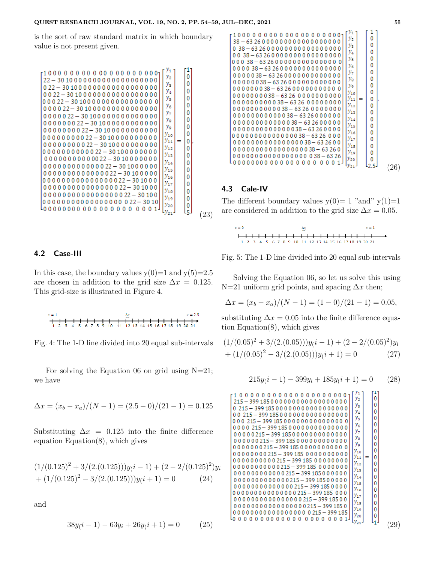is the sort of raw standard matrix in which boundary value is not present given.



# **4.2 Case-III**

In this case, the boundary values  $y(0)=1$  and  $y(5)=2.5$ are chosen in addition to the grid size  $\Delta x = 0.125$ . This grid-size is illustrated in Figure 4.

$$
x = 1
$$
  
\n $x = 2.5$   
\n $x = 2.5$   
\n $x = 2.5$   
\n $x = 2.5$   
\n $x = 2.5$   
\n $x = 2.5$   
\n $x = 2.5$   
\n $x = 2.5$ 

Fig. 4: The 1-D line divided into 20 equal sub-intervals

For solving the Equation 06 on grid using  $N=21$ ; we have

$$
\Delta x = (x_b - x_a)/(N - 1) = (2.5 - 0)/(21 - 1) = 0.125
$$

Substituting  $\Delta x = 0.125$  into the finite difference equation Equation $(8)$ , which gives

$$
(1/(0.125)^{2} + 3/(2.(0.125)))y(i - 1) + (2 - 2/(0.125)^{2})y_{i}
$$

$$
+ (1/(0.125)^{2} - 3/(2.(0.125)))y(i + 1) = 0
$$
(24)

and

$$
38y(i-1) - 63y_i + 26y(i+1) = 0 \tag{25}
$$



# **4.3 Cale-IV**

The different boundary values  $y(0)=1$  "and"  $y(1)=1$ are considered in addition to the grid size  $\Delta x = 0.05$ .

| $x = 0$ |  |  |  |  |  |  | Δx |                                                       |  |  |  |  |  |  | $x = 1$ |  |  |  |  |  |
|---------|--|--|--|--|--|--|----|-------------------------------------------------------|--|--|--|--|--|--|---------|--|--|--|--|--|
|         |  |  |  |  |  |  |    |                                                       |  |  |  |  |  |  |         |  |  |  |  |  |
|         |  |  |  |  |  |  |    | 1 2 3 4 5 6 7 8 9 10 11 12 13 14 15 16 17 18 19 20 21 |  |  |  |  |  |  |         |  |  |  |  |  |

Fig. 5: The 1-D line divided into 20 equal sub-intervals

Solving the Equation 06, so let us solve this using N=21 uniform grid points, and spacing ∆*x* then;

$$
\Delta x = (x_b - x_a)/(N - 1) = (1 - 0)/(21 - 1) = 0.05,
$$

substituting  $\Delta x = 0.05$  into the finite difference equation Equation(8), which gives

$$
(1/(0.05)^{2} + 3/(2.(0.05)))y(i - 1) + (2 - 2/(0.05)^{2})y_{i}
$$
  
+  $(1/(0.05)^{2} - 3/(2.(0.05)))y(i + 1) = 0$  (27)

$$
215y(i-1) - 399y_i + 185y(i+1) = 0 \qquad (28)
$$